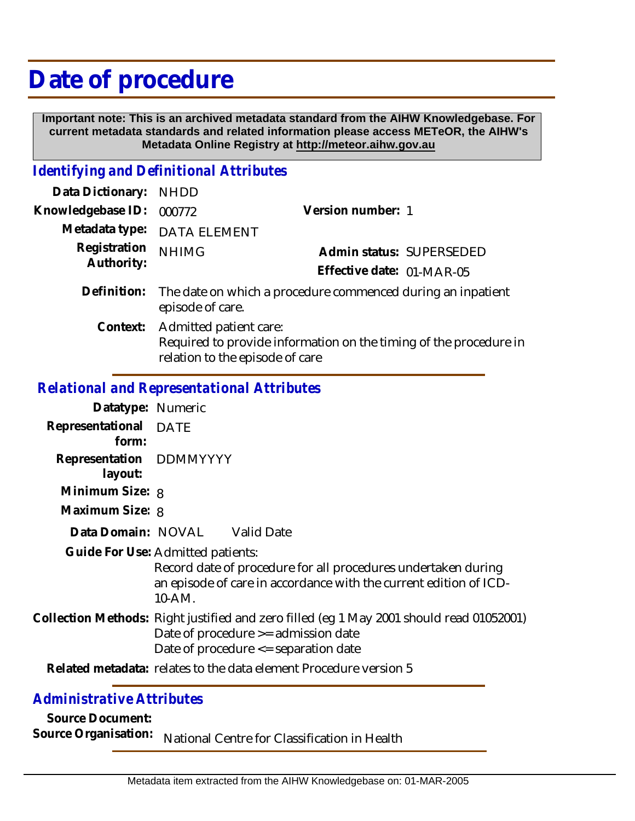## **Date of procedure**

 **Important note: This is an archived metadata standard from the AIHW Knowledgebase. For current metadata standards and related information please access METeOR, the AIHW's Metadata Online Registry at http://meteor.aihw.gov.au**

## *Identifying and Definitional Attributes*

| Data Dictionary: NHDD      |                                                                                                                                         |                           |                          |
|----------------------------|-----------------------------------------------------------------------------------------------------------------------------------------|---------------------------|--------------------------|
| Knowledgebase ID:          | 000772                                                                                                                                  | Version number: 1         |                          |
|                            | Metadata type: DATA ELEMENT                                                                                                             |                           |                          |
| Registration<br>Authority: | <b>NHIMG</b>                                                                                                                            |                           | Admin status: SUPERSEDED |
|                            |                                                                                                                                         | Effective date: 01-MAR-05 |                          |
|                            | Definition: The date on which a procedure commenced during an inpatient<br>episode of care.                                             |                           |                          |
|                            | Context: Admitted patient care:<br>Required to provide information on the timing of the procedure in<br>relation to the episode of care |                           |                          |

## *Relational and Representational Attributes*

| Datatype: Numeric                  |                                                                                                                                                                             |                                                                                                                                    |  |
|------------------------------------|-----------------------------------------------------------------------------------------------------------------------------------------------------------------------------|------------------------------------------------------------------------------------------------------------------------------------|--|
| Representational<br>form:          | DATE                                                                                                                                                                        |                                                                                                                                    |  |
| Representation DDMMYYYY<br>layout: |                                                                                                                                                                             |                                                                                                                                    |  |
| Minimum Size: 8                    |                                                                                                                                                                             |                                                                                                                                    |  |
| Maximum Size: 8                    |                                                                                                                                                                             |                                                                                                                                    |  |
| Data Domain: NOVAL Valid Date      |                                                                                                                                                                             |                                                                                                                                    |  |
| Guide For Use: Admitted patients:  | 10-AM.                                                                                                                                                                      | Record date of procedure for all procedures undertaken during<br>an episode of care in accordance with the current edition of ICD- |  |
|                                    | Collection Methods: Right justified and zero filled (eg 1 May 2001 should read 01052001)<br>Date of procedure >= admission date<br>Date of procedure $\leq$ separation date |                                                                                                                                    |  |
|                                    |                                                                                                                                                                             | Related metadata: relates to the data element Procedure version 5                                                                  |  |

## *Administrative Attributes*

**Source Document:**

Source Organisation: National Centre for Classification in Health